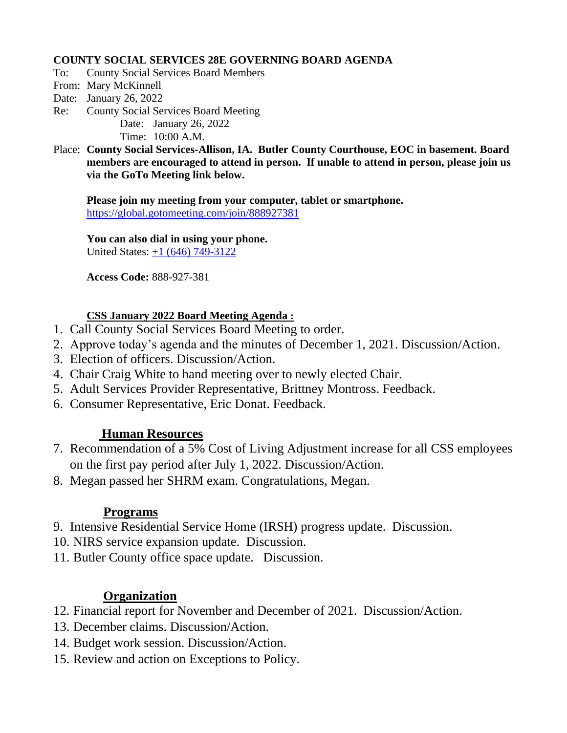#### **COUNTY SOCIAL SERVICES 28E GOVERNING BOARD AGENDA**

- To: County Social Services Board Members
- From: Mary McKinnell
- Date: January 26, 2022
- Re: County Social Services Board Meeting Date: January 26, 2022 Time: 10:00 A.M.
- Place: **County Social Services-Allison, IA. Butler County Courthouse, EOC in basement. Board members are encouraged to attend in person. If unable to attend in person, please join us via the GoTo Meeting link below.**

**Please join my meeting from your computer, tablet or smartphone.**  <https://global.gotomeeting.com/join/888927381>

**You can also dial in using your phone.** United States: [+1 \(646\) 749-3122](tel:+16467493122,,888927381)

**Access Code:** 888-927-381

### **CSS January 2022 Board Meeting Agenda :**

- 1. Call County Social Services Board Meeting to order.
- 2. Approve today's agenda and the minutes of December 1, 2021. Discussion/Action.
- 3. Election of officers. Discussion/Action.
- 4. Chair Craig White to hand meeting over to newly elected Chair.
- 5. Adult Services Provider Representative, Brittney Montross. Feedback.
- 6. Consumer Representative, Eric Donat. Feedback.

# **Human Resources**

- 7. Recommendation of a 5% Cost of Living Adjustment increase for all CSS employees on the first pay period after July 1, 2022. Discussion/Action.
- 8. Megan passed her SHRM exam. Congratulations, Megan.

#### **Programs**

- 9. Intensive Residential Service Home (IRSH) progress update. Discussion.
- 10. NIRS service expansion update. Discussion.
- 11. Butler County office space update. Discussion.

# **Organization**

- 12. Financial report for November and December of 2021. Discussion/Action.
- 13. December claims. Discussion/Action.
- 14. Budget work session. Discussion/Action.
- 15. Review and action on Exceptions to Policy.